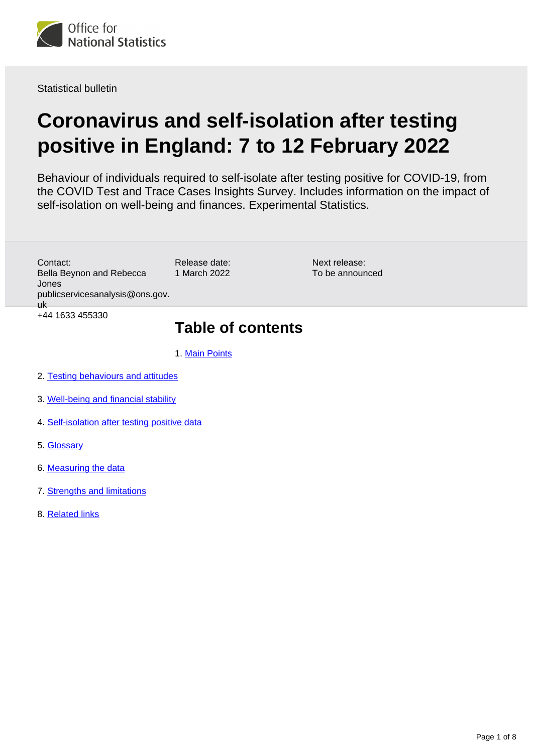

Statistical bulletin

# **Coronavirus and self-isolation after testing positive in England: 7 to 12 February 2022**

Behaviour of individuals required to self-isolate after testing positive for COVID-19, from the COVID Test and Trace Cases Insights Survey. Includes information on the impact of self-isolation on well-being and finances. Experimental Statistics.

Contact: Bella Beynon and Rebecca Jones publicservicesanalysis@ons.gov. uk +44 1633 455330

# 1 March 2022

Release date:

Next release: To be announced

### **Table of contents**

- 1. [Main Points](#page-1-0)
- 2. [Testing behaviours and attitudes](#page-2-0)
- 3. [Well-being and financial stability](#page-4-0)
- 4. [Self-isolation after testing positive data](#page-5-0)
- 5. [Glossary](#page-5-1)
- 6. [Measuring the data](#page-6-0)
- 7. [Strengths and limitations](#page-7-0)
- 8. [Related links](#page-7-1)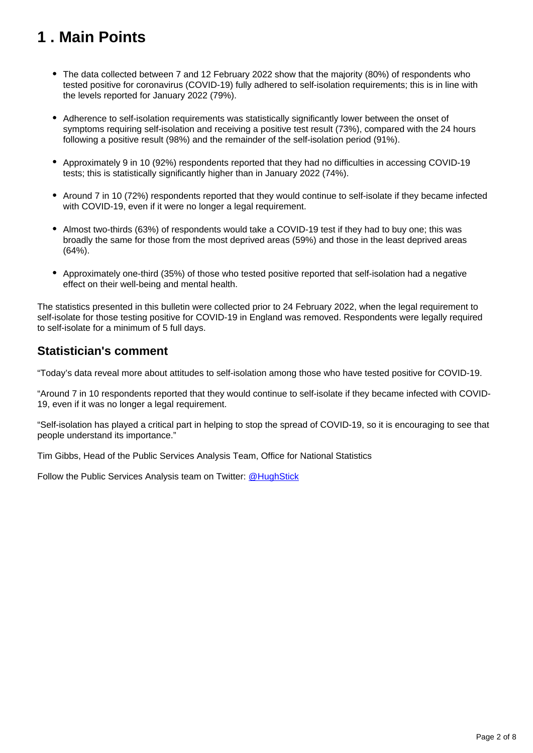# <span id="page-1-0"></span>**1 . Main Points**

- The data collected between 7 and 12 February 2022 show that the majority (80%) of respondents who tested positive for coronavirus (COVID-19) fully adhered to self-isolation requirements; this is in line with the levels reported for January 2022 (79%).
- Adherence to self-isolation requirements was statistically significantly lower between the onset of symptoms requiring self-isolation and receiving a positive test result (73%), compared with the 24 hours following a positive result (98%) and the remainder of the self-isolation period (91%).
- Approximately 9 in 10 (92%) respondents reported that they had no difficulties in accessing COVID-19 tests; this is statistically significantly higher than in January 2022 (74%).
- Around 7 in 10 (72%) respondents reported that they would continue to self-isolate if they became infected with COVID-19, even if it were no longer a legal requirement.
- Almost two-thirds (63%) of respondents would take a COVID-19 test if they had to buy one; this was broadly the same for those from the most deprived areas (59%) and those in the least deprived areas (64%).
- Approximately one-third (35%) of those who tested positive reported that self-isolation had a negative effect on their well-being and mental health.

The statistics presented in this bulletin were collected prior to 24 February 2022, when the legal requirement to self-isolate for those testing positive for COVID-19 in England was removed. Respondents were legally required to self-isolate for a minimum of 5 full days.

### **Statistician's comment**

"Today's data reveal more about attitudes to self-isolation among those who have tested positive for COVID-19.

"Around 7 in 10 respondents reported that they would continue to self-isolate if they became infected with COVID-19, even if it was no longer a legal requirement.

"Self-isolation has played a critical part in helping to stop the spread of COVID-19, so it is encouraging to see that people understand its importance."

Tim Gibbs, Head of the Public Services Analysis Team, Office for National Statistics

Follow the Public Services Analysis team on Twitter: [@HughStick](https://twitter.com/hughstick?lang=en)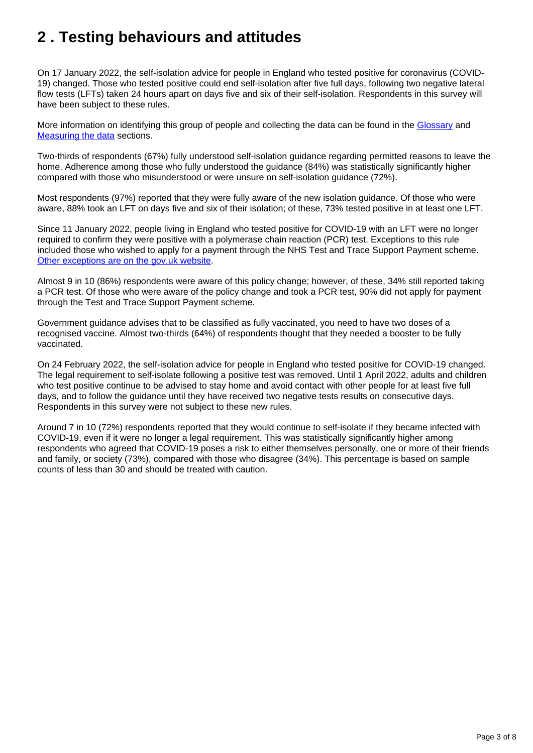# <span id="page-2-0"></span>**2 . Testing behaviours and attitudes**

On 17 January 2022, the self-isolation advice for people in England who tested positive for coronavirus (COVID-19) changed. Those who tested positive could end self-isolation after five full days, following two negative lateral flow tests (LFTs) taken 24 hours apart on days five and six of their self-isolation. Respondents in this survey will have been subject to these rules.

More information on identifying this group of people and collecting the data can be found in the [Glossary](https://www.ons.gov.uk/peoplepopulationandcommunity/healthandsocialcare/healthandwellbeing/bulletins/coronavirusandselfisolationaftertestingpositiveinengland/7to12february2022#glossary) and [Measuring the data](https://www.ons.gov.uk/peoplepopulationandcommunity/healthandsocialcare/healthandwellbeing/bulletins/coronavirusandselfisolationaftertestingpositiveinengland/7to12february2022#measuring-the-data) sections.

Two-thirds of respondents (67%) fully understood self-isolation guidance regarding permitted reasons to leave the home. Adherence among those who fully understood the guidance (84%) was statistically significantly higher compared with those who misunderstood or were unsure on self-isolation guidance (72%).

Most respondents (97%) reported that they were fully aware of the new isolation guidance. Of those who were aware, 88% took an LFT on days five and six of their isolation; of these, 73% tested positive in at least one LFT.

Since 11 January 2022, people living in England who tested positive for COVID-19 with an LFT were no longer required to confirm they were positive with a polymerase chain reaction (PCR) test. Exceptions to this rule included those who wished to apply for a payment through the NHS Test and Trace Support Payment scheme. [Other exceptions are on the gov.uk website.](https://www.gov.uk/government/news/people-with-a-positive-lateral-flow-test-no-longer-required-to-take-confirmatory-pcr-test)

Almost 9 in 10 (86%) respondents were aware of this policy change; however, of these, 34% still reported taking a PCR test. Of those who were aware of the policy change and took a PCR test, 90% did not apply for payment through the Test and Trace Support Payment scheme.

Government guidance advises that to be classified as fully vaccinated, you need to have two doses of a recognised vaccine. Almost two-thirds (64%) of respondents thought that they needed a booster to be fully vaccinated.

On 24 February 2022, the self-isolation advice for people in England who tested positive for COVID-19 changed. The legal requirement to self-isolate following a positive test was removed. Until 1 April 2022, adults and children who test positive continue to be advised to stay home and avoid contact with other people for at least five full days, and to follow the guidance until they have received two negative tests results on consecutive days. Respondents in this survey were not subject to these new rules.

Around 7 in 10 (72%) respondents reported that they would continue to self-isolate if they became infected with COVID-19, even if it were no longer a legal requirement. This was statistically significantly higher among respondents who agreed that COVID-19 poses a risk to either themselves personally, one or more of their friends and family, or society (73%), compared with those who disagree (34%). This percentage is based on sample counts of less than 30 and should be treated with caution.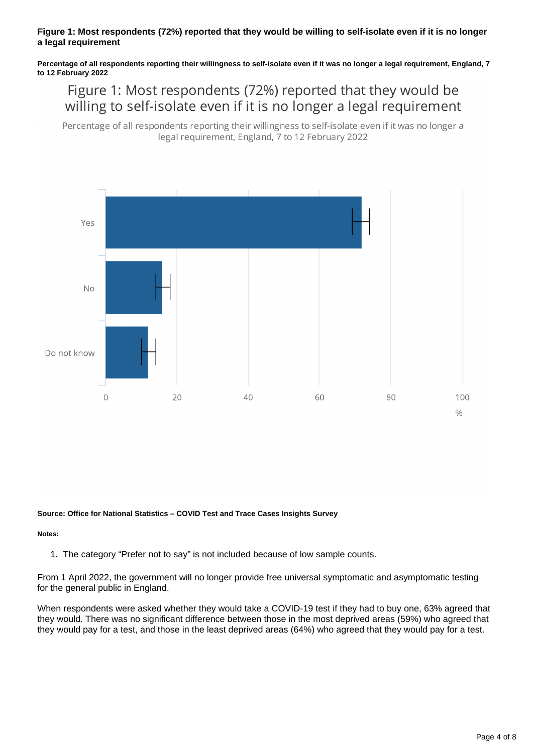#### **Figure 1: Most respondents (72%) reported that they would be willing to self-isolate even if it is no longer a legal requirement**

**Percentage of all respondents reporting their willingness to self-isolate even if it was no longer a legal requirement, England, 7 to 12 February 2022**

Figure 1: Most respondents (72%) reported that they would be willing to self-isolate even if it is no longer a legal requirement

Percentage of all respondents reporting their willingness to self-isolate even if it was no longer a legal requirement, England, 7 to 12 February 2022



#### **Source: Office for National Statistics – COVID Test and Trace Cases Insights Survey**

#### **Notes:**

1. The category "Prefer not to say" is not included because of low sample counts.

From 1 April 2022, the government will no longer provide free universal symptomatic and asymptomatic testing for the general public in England.

When respondents were asked whether they would take a COVID-19 test if they had to buy one, 63% agreed that they would. There was no significant difference between those in the most deprived areas (59%) who agreed that they would pay for a test, and those in the least deprived areas (64%) who agreed that they would pay for a test.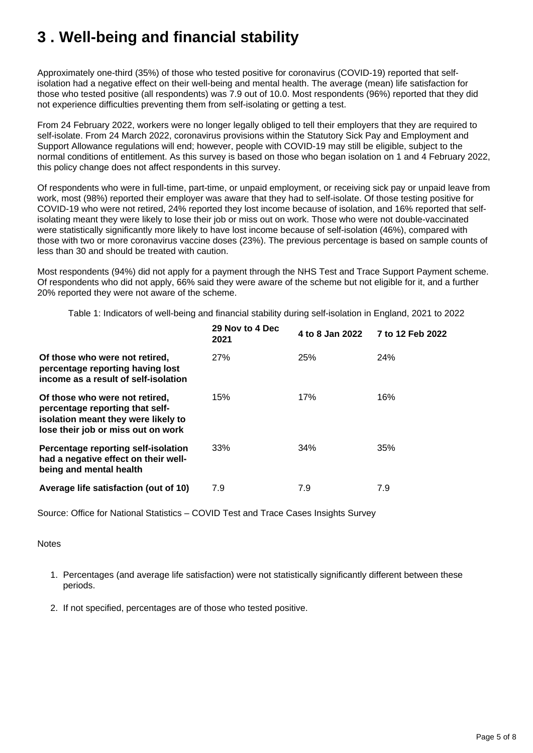# <span id="page-4-0"></span>**3 . Well-being and financial stability**

Approximately one-third (35%) of those who tested positive for coronavirus (COVID-19) reported that selfisolation had a negative effect on their well-being and mental health. The average (mean) life satisfaction for those who tested positive (all respondents) was 7.9 out of 10.0. Most respondents (96%) reported that they did not experience difficulties preventing them from self-isolating or getting a test.

From 24 February 2022, workers were no longer legally obliged to tell their employers that they are required to self-isolate. From 24 March 2022, coronavirus provisions within the Statutory Sick Pay and Employment and Support Allowance regulations will end; however, people with COVID-19 may still be eligible, subject to the normal conditions of entitlement. As this survey is based on those who began isolation on 1 and 4 February 2022, this policy change does not affect respondents in this survey.

Of respondents who were in full-time, part-time, or unpaid employment, or receiving sick pay or unpaid leave from work, most (98%) reported their employer was aware that they had to self-isolate. Of those testing positive for COVID-19 who were not retired, 24% reported they lost income because of isolation, and 16% reported that selfisolating meant they were likely to lose their job or miss out on work. Those who were not double-vaccinated were statistically significantly more likely to have lost income because of self-isolation (46%), compared with those with two or more coronavirus vaccine doses (23%). The previous percentage is based on sample counts of less than 30 and should be treated with caution.

Most respondents (94%) did not apply for a payment through the NHS Test and Trace Support Payment scheme. Of respondents who did not apply, 66% said they were aware of the scheme but not eligible for it, and a further 20% reported they were not aware of the scheme.

Table 1: Indicators of well-being and financial stability during self-isolation in England, 2021 to 2022

|                                                                                                                                                | 29 Nov to 4 Dec<br>2021 | 4 to 8 Jan 2022 | 7 to 12 Feb 2022 |
|------------------------------------------------------------------------------------------------------------------------------------------------|-------------------------|-----------------|------------------|
| Of those who were not retired,<br>percentage reporting having lost<br>income as a result of self-isolation                                     | 27%                     | <b>25%</b>      | <b>24%</b>       |
| Of those who were not retired,<br>percentage reporting that self-<br>isolation meant they were likely to<br>lose their job or miss out on work | 15%                     | 17%             | 16%              |
| Percentage reporting self-isolation<br>had a negative effect on their well-<br>being and mental health                                         | 33%                     | 34%             | 35%              |
| Average life satisfaction (out of 10)                                                                                                          | 7.9                     | 7.9             | 7.9              |

Source: Office for National Statistics – COVID Test and Trace Cases Insights Survey

#### **Notes**

- 1. Percentages (and average life satisfaction) were not statistically significantly different between these periods.
- 2. If not specified, percentages are of those who tested positive.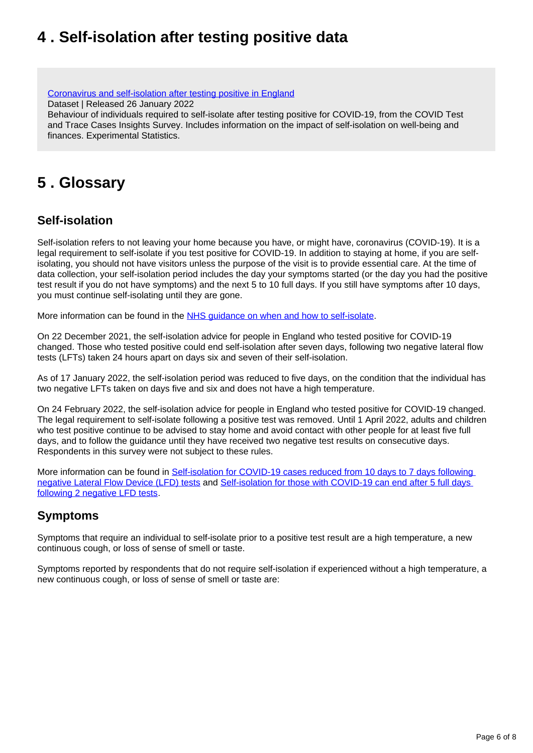# <span id="page-5-0"></span>**4 . Self-isolation after testing positive data**

[Coronavirus and self-isolation after testing positive in England](https://www.ons.gov.uk/peoplepopulationandcommunity/healthandsocialcare/healthandwellbeing/datasets/coronavirusandselfisolationaftertestingpositiveinengland) Dataset | Released 26 January 2022 Behaviour of individuals required to self-isolate after testing positive for COVID-19, from the COVID Test and Trace Cases Insights Survey. Includes information on the impact of self-isolation on well-being and finances. Experimental Statistics.

## <span id="page-5-1"></span>**5 . Glossary**

### **Self-isolation**

Self-isolation refers to not leaving your home because you have, or might have, coronavirus (COVID-19). It is a legal requirement to self-isolate if you test positive for COVID-19. In addition to staying at home, if you are selfisolating, you should not have visitors unless the purpose of the visit is to provide essential care. At the time of data collection, your self-isolation period includes the day your symptoms started (or the day you had the positive test result if you do not have symptoms) and the next 5 to 10 full days. If you still have symptoms after 10 days, you must continue self-isolating until they are gone.

More information can be found in the [NHS guidance on when and how to self-isolate.](https://www.nhs.uk/conditions/coronavirus-covid-19/self-isolation-and-treatment/when-to-self-isolate-and-what-to-do/)

On 22 December 2021, the self-isolation advice for people in England who tested positive for COVID-19 changed. Those who tested positive could end self-isolation after seven days, following two negative lateral flow tests (LFTs) taken 24 hours apart on days six and seven of their self-isolation.

As of 17 January 2022, the self-isolation period was reduced to five days, on the condition that the individual has two negative LFTs taken on days five and six and does not have a high temperature.

On 24 February 2022, the self-isolation advice for people in England who tested positive for COVID-19 changed. The legal requirement to self-isolate following a positive test was removed. Until 1 April 2022, adults and children who test positive continue to be advised to stay home and avoid contact with other people for at least five full days, and to follow the guidance until they have received two negative test results on consecutive days. Respondents in this survey were not subject to these rules.

More information can be found in [Self-isolation for COVID-19 cases reduced from 10 days to 7 days following](https://www.gov.uk/government/news/self-isolation-for-covid-19-cases-reduced-from-10-to-7-days-following-negative-lfd-tests)  [negative Lateral Flow Device \(LFD\) tests](https://www.gov.uk/government/news/self-isolation-for-covid-19-cases-reduced-from-10-to-7-days-following-negative-lfd-tests) and [Self-isolation for those with COVID-19 can end after 5 full days](https://www.gov.uk/government/news/self-isolation-for-those-with-covid-19-can-end-after-five-full-days-following-two-negative-lfd-tests#:~:text=From%20Monday%2017%20January%2C%20people,day%205%20and%20day%206.&text=over%20the%20winter-,From%20Monday%2017%20January%2C%20people%20with%20COVID%2D19%20in%20England,day%205%20and%20day%206)  [following 2 negative LFD tests](https://www.gov.uk/government/news/self-isolation-for-those-with-covid-19-can-end-after-five-full-days-following-two-negative-lfd-tests#:~:text=From%20Monday%2017%20January%2C%20people,day%205%20and%20day%206.&text=over%20the%20winter-,From%20Monday%2017%20January%2C%20people%20with%20COVID%2D19%20in%20England,day%205%20and%20day%206).

### **Symptoms**

Symptoms that require an individual to self-isolate prior to a positive test result are a high temperature, a new continuous cough, or loss of sense of smell or taste.

Symptoms reported by respondents that do not require self-isolation if experienced without a high temperature, a new continuous cough, or loss of sense of smell or taste are: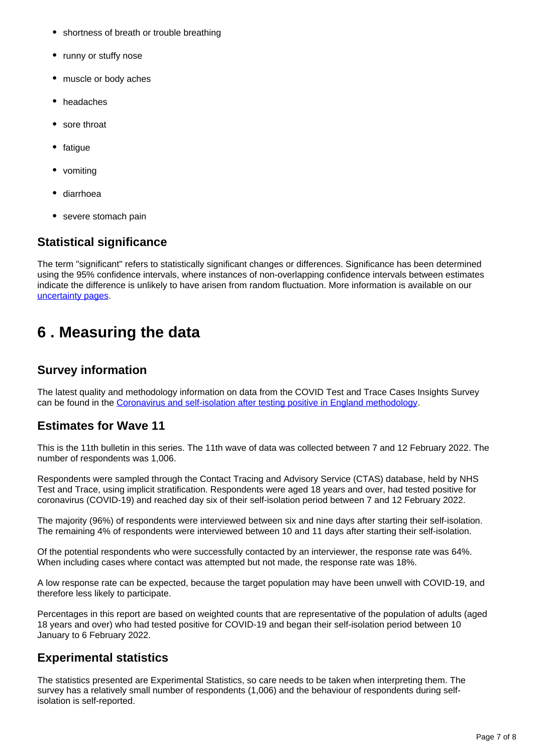- shortness of breath or trouble breathing
- runny or stuffy nose
- muscle or body aches
- headaches
- sore throat
- fatigue
- vomiting
- diarrhoea
- severe stomach pain

#### **Statistical significance**

The term "significant" refers to statistically significant changes or differences. Significance has been determined using the 95% confidence intervals, where instances of non-overlapping confidence intervals between estimates indicate the difference is unlikely to have arisen from random fluctuation. More information is available on our [uncertainty pages](https://www.ons.gov.uk/methodology/methodologytopicsandstatisticalconcepts/uncertaintyandhowwemeasureit).

### <span id="page-6-0"></span>**6 . Measuring the data**

#### **Survey information**

The latest quality and methodology information on data from the COVID Test and Trace Cases Insights Survey can be found in the [Coronavirus and self-isolation after testing positive in England methodology.](https://www.ons.gov.uk/peoplepopulationandcommunity/healthandsocialcare/healthandwellbeing/methodologies/coronavirusandselfisolationaftertestingpositiveinenglandmethodology)

#### **Estimates for Wave 11**

This is the 11th bulletin in this series. The 11th wave of data was collected between 7 and 12 February 2022. The number of respondents was 1,006.

Respondents were sampled through the Contact Tracing and Advisory Service (CTAS) database, held by NHS Test and Trace, using implicit stratification. Respondents were aged 18 years and over, had tested positive for coronavirus (COVID-19) and reached day six of their self-isolation period between 7 and 12 February 2022.

The majority (96%) of respondents were interviewed between six and nine days after starting their self-isolation. The remaining 4% of respondents were interviewed between 10 and 11 days after starting their self-isolation.

Of the potential respondents who were successfully contacted by an interviewer, the response rate was 64%. When including cases where contact was attempted but not made, the response rate was 18%.

A low response rate can be expected, because the target population may have been unwell with COVID-19, and therefore less likely to participate.

Percentages in this report are based on weighted counts that are representative of the population of adults (aged 18 years and over) who had tested positive for COVID-19 and began their self-isolation period between 10 January to 6 February 2022.

#### **Experimental statistics**

The statistics presented are Experimental Statistics, so care needs to be taken when interpreting them. The survey has a relatively small number of respondents (1,006) and the behaviour of respondents during selfisolation is self-reported.